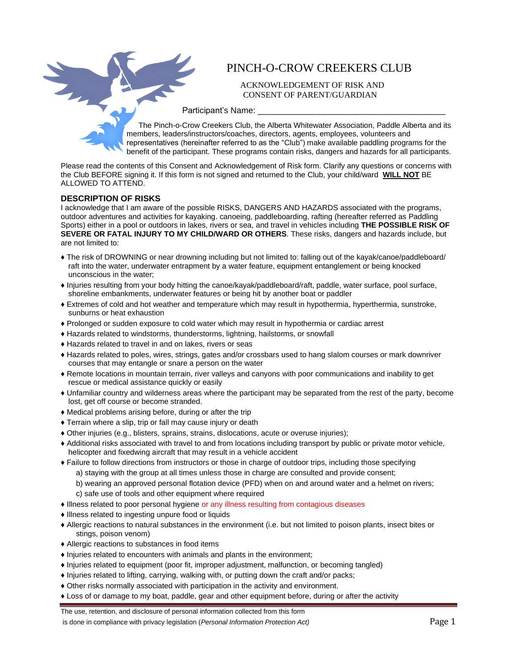

## PINCH-O-CROW CREEKERS CLUB

ACKNOWLEDGEMENT OF RISK AND CONSENT OF PARENT/GUARDIAN

Participant's Name:

The Pinch-o-Crow Creekers Club, the Alberta Whitewater Association, Paddle Alberta and its members, leaders/instructors/coaches, directors, agents, employees, volunteers and representatives (hereinafter referred to as the "Club") make available paddling programs for the benefit of the participant. These programs contain risks, dangers and hazards for all participants.

Please read the contents of this Consent and Acknowledgement of Risk form. Clarify any questions or concerns with the Club BEFORE signing it. If this form is not signed and returned to the Club, your child/ward **WILL NOT** BE ALLOWED TO ATTEND.

## **DESCRIPTION OF RISKS**

I acknowledge that I am aware of the possible RISKS, DANGERS AND HAZARDS associated with the programs, outdoor adventures and activities for kayaking. canoeing, paddleboarding, rafting (hereafter referred as Paddling Sports) either in a pool or outdoors in lakes, rivers or sea, and travel in vehicles including **THE POSSIBLE RISK OF SEVERE OR FATAL INJURY TO MY CHILD/WARD OR OTHERS**. These risks, dangers and hazards include, but are not limited to:

- ♦ The risk of DROWNING or near drowning including but not limited to: falling out of the kayak/canoe/paddleboard/ raft into the water, underwater entrapment by a water feature, equipment entanglement or being knocked unconscious in the water;
- ♦ Injuries resulting from your body hitting the canoe/kayak/paddleboard/raft, paddle, water surface, pool surface, shoreline embankments, underwater features or being hit by another boat or paddler
- ♦ Extremes of cold and hot weather and temperature which may result in hypothermia, hyperthermia, sunstroke, sunburns or heat exhaustion
- ♦ Prolonged or sudden exposure to cold water which may result in hypothermia or cardiac arrest
- ♦ Hazards related to windstorms, thunderstorms, lightning, hailstorms, or snowfall
- ♦ Hazards related to travel in and on lakes, rivers or seas
- ♦ Hazards related to poles, wires, strings, gates and/or crossbars used to hang slalom courses or mark downriver courses that may entangle or snare a person on the water
- ♦ Remote locations in mountain terrain, river valleys and canyons with poor communications and inability to get rescue or medical assistance quickly or easily
- ♦ Unfamiliar country and wilderness areas where the participant may be separated from the rest of the party, become lost, get off course or become stranded.
- ♦ Medical problems arising before, during or after the trip
- ♦ Terrain where a slip, trip or fall may cause injury or death
- ♦ Other injuries (e.g., blisters, sprains, strains, dislocations, acute or overuse injuries);
- ♦ Additional risks associated with travel to and from locations including transport by public or private motor vehicle, helicopter and fixedwing aircraft that may result in a vehicle accident
- ♦ Failure to follow directions from instructors or those in charge of outdoor trips, including those specifying
	- a) staying with the group at all times unless those in charge are consulted and provide consent;
	- b) wearing an approved personal flotation device (PFD) when on and around water and a helmet on rivers;
	- c) safe use of tools and other equipment where required
- ♦ Illness related to poor personal hygiene or any illness resulting from contagious diseases
- ♦ Illness related to ingesting unpure food or liquids
- ♦ Allergic reactions to natural substances in the environment (i.e. but not limited to poison plants, insect bites or stings, poison venom)
- ♦ Allergic reactions to substances in food items
- ♦ Injuries related to encounters with animals and plants in the environment;
- ♦ Injuries related to equipment (poor fit, improper adjustment, malfunction, or becoming tangled)
- ♦ Injuries related to lifting, carrying, walking with, or putting down the craft and/or packs;
- ♦ Other risks normally associated with participation in the activity and environment.
- ♦ Loss of or damage to my boat, paddle, gear and other equipment before, during or after the activity